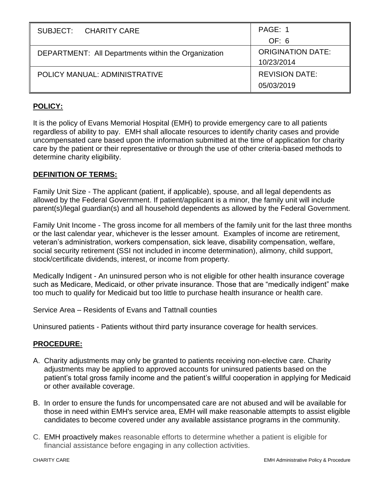| SUBJECT: CHARITY CARE                               | PAGE: 1                  |
|-----------------------------------------------------|--------------------------|
|                                                     | OF: 6                    |
| DEPARTMENT: All Departments within the Organization | <b>ORIGINATION DATE:</b> |
|                                                     | 10/23/2014               |
| POLICY MANUAL: ADMINISTRATIVE                       | <b>REVISION DATE:</b>    |
|                                                     | 05/03/2019               |

# **POLICY:**

It is the policy of Evans Memorial Hospital (EMH) to provide emergency care to all patients regardless of ability to pay. EMH shall allocate resources to identify charity cases and provide uncompensated care based upon the information submitted at the time of application for charity care by the patient or their representative or through the use of other criteria-based methods to determine charity eligibility.

### **DEFINITION OF TERMS:**

Family Unit Size - The applicant (patient, if applicable), spouse, and all legal dependents as allowed by the Federal Government. If patient/applicant is a minor, the family unit will include parent(s)/legal guardian(s) and all household dependents as allowed by the Federal Government.

Family Unit Income - The gross income for all members of the family unit for the last three months or the last calendar year, whichever is the lesser amount. Examples of income are retirement, veteran's administration, workers compensation, sick leave, disability compensation, welfare, social security retirement (SSI not included in income determination), alimony, child support, stock/certificate dividends, interest, or income from property.

Medically Indigent - An uninsured person who is not eligible for other health insurance coverage such as Medicare, Medicaid, or other private insurance. Those that are "medically indigent" make too much to qualify for Medicaid but too little to purchase health insurance or health care.

Service Area – Residents of Evans and Tattnall counties

Uninsured patients - Patients without third party insurance coverage for health services.

#### **PROCEDURE:**

- A. Charity adjustments may only be granted to patients receiving non-elective care. Charity adjustments may be applied to approved accounts for uninsured patients based on the patient's total gross family income and the patient's willful cooperation in applying for Medicaid or other available coverage.
- B. In order to ensure the funds for uncompensated care are not abused and will be available for those in need within EMH's service area, EMH will make reasonable attempts to assist eligible candidates to become covered under any available assistance programs in the community.
- C. EMH proactively makes reasonable efforts to determine whether a patient is eligible for financial assistance before engaging in any collection activities.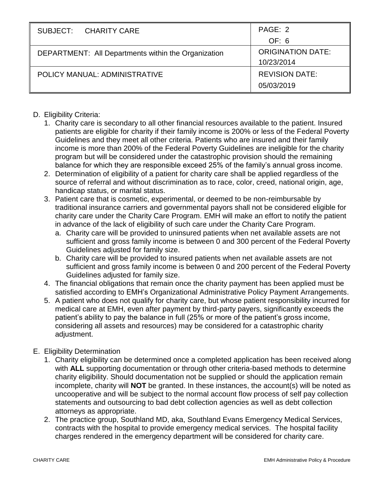| SUBJECT: CHARITY CARE                               | PAGE: 2                  |
|-----------------------------------------------------|--------------------------|
|                                                     | OF: 6                    |
| DEPARTMENT: All Departments within the Organization | <b>ORIGINATION DATE:</b> |
|                                                     | 10/23/2014               |
| POLICY MANUAL: ADMINISTRATIVE                       | <b>REVISION DATE:</b>    |
|                                                     | 05/03/2019               |

# D. Eligibility Criteria:

- 1. Charity care is secondary to all other financial resources available to the patient. Insured patients are eligible for charity if their family income is 200% or less of the Federal Poverty Guidelines and they meet all other criteria. Patients who are insured and their family income is more than 200% of the Federal Poverty Guidelines are ineligible for the charity program but will be considered under the catastrophic provision should the remaining balance for which they are responsible exceed 25% of the family's annual gross income.
- 2. Determination of eligibility of a patient for charity care shall be applied regardless of the source of referral and without discrimination as to race, color, creed, national origin, age, handicap status, or marital status.
- 3. Patient care that is cosmetic, experimental, or deemed to be non-reimbursable by traditional insurance carriers and governmental payors shall not be considered eligible for charity care under the Charity Care Program. EMH will make an effort to notify the patient in advance of the lack of eligibility of such care under the Charity Care Program.
	- a. Charity care will be provided to uninsured patients when net available assets are not sufficient and gross family income is between 0 and 300 percent of the Federal Poverty Guidelines adjusted for family size.
	- b. Charity care will be provided to insured patients when net available assets are not sufficient and gross family income is between 0 and 200 percent of the Federal Poverty Guidelines adjusted for family size.
- 4. The financial obligations that remain once the charity payment has been applied must be satisfied according to EMH's Organizational Administrative Policy Payment Arrangements.
- 5. A patient who does not qualify for charity care, but whose patient responsibility incurred for medical care at EMH, even after payment by third-party payers, significantly exceeds the patient's ability to pay the balance in full (25% or more of the patient's gross income, considering all assets and resources) may be considered for a catastrophic charity adjustment.

## E. Eligibility Determination

- 1. Charity eligibility can be determined once a completed application has been received along with **ALL** supporting documentation or through other criteria-based methods to determine charity eligibility. Should documentation not be supplied or should the application remain incomplete, charity will **NOT** be granted. In these instances, the account(s) will be noted as uncooperative and will be subject to the normal account flow process of self pay collection statements and outsourcing to bad debt collection agencies as well as debt collection attorneys as appropriate.
- 2. The practice group, Southland MD, aka, Southland Evans Emergency Medical Services, contracts with the hospital to provide emergency medical services. The hospital facility charges rendered in the emergency department will be considered for charity care.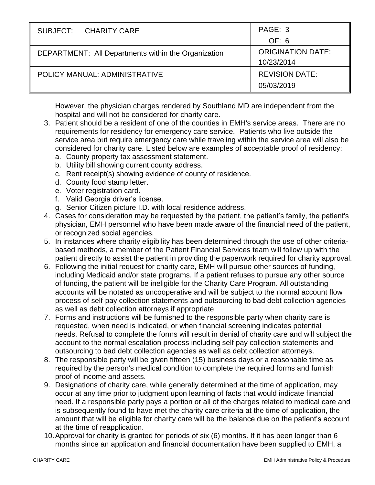| SUBJECT: CHARITY CARE                                      | PAGE: 3                  |
|------------------------------------------------------------|--------------------------|
|                                                            | OF: 6                    |
| <b>DEPARTMENT:</b> All Departments within the Organization | <b>ORIGINATION DATE:</b> |
|                                                            | 10/23/2014               |
| POLICY MANUAL: ADMINISTRATIVE                              | <b>REVISION DATE:</b>    |
|                                                            | 05/03/2019               |

However, the physician charges rendered by Southland MD are independent from the hospital and will not be considered for charity care.

- 3. Patient should be a resident of one of the counties in EMH's service areas. There are no requirements for residency for emergency care service. Patients who live outside the service area but require emergency care while traveling within the service area will also be considered for charity care. Listed below are examples of acceptable proof of residency:
	- a. County property tax assessment statement.
	- b. Utility bill showing current county address.
	- c. Rent receipt(s) showing evidence of county of residence.
	- d. County food stamp letter.
	- e. Voter registration card.
	- f. Valid Georgia driver's license.
	- g. Senior Citizen picture I.D. with local residence address.
- 4. Cases for consideration may be requested by the patient, the patient's family, the patient's physician, EMH personnel who have been made aware of the financial need of the patient, or recognized social agencies.
- 5. In instances where charity eligibility has been determined through the use of other criteriabased methods, a member of the Patient Financial Services team will follow up with the patient directly to assist the patient in providing the paperwork required for charity approval.
- 6. Following the initial request for charity care, EMH will pursue other sources of funding, including Medicaid and/or state programs. If a patient refuses to pursue any other source of funding, the patient will be ineligible for the Charity Care Program. All outstanding accounts will be notated as uncooperative and will be subject to the normal account flow process of self-pay collection statements and outsourcing to bad debt collection agencies as well as debt collection attorneys if appropriate
- 7. Forms and instructions will be furnished to the responsible party when charity care is requested, when need is indicated, or when financial screening indicates potential needs. Refusal to complete the forms will result in denial of charity care and will subject the account to the normal escalation process including self pay collection statements and outsourcing to bad debt collection agencies as well as debt collection attorneys.
- 8. The responsible party will be given fifteen (15) business days or a reasonable time as required by the person's medical condition to complete the required forms and furnish proof of income and assets.
- 9. Designations of charity care, while generally determined at the time of application, may occur at any time prior to judgment upon learning of facts that would indicate financial need. If a responsible party pays a portion or all of the charges related to medical care and is subsequently found to have met the charity care criteria at the time of application, the amount that will be eligible for charity care will be the balance due on the patient's account at the time of reapplication.
- 10.Approval for charity is granted for periods of six (6) months. If it has been longer than 6 months since an application and financial documentation have been supplied to EMH, a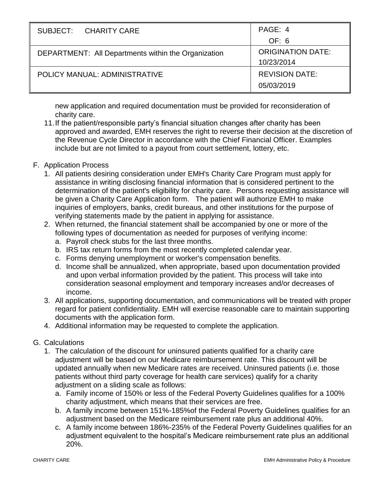| SUBJECT: CHARITY CARE                                      | PAGE: 4                                |
|------------------------------------------------------------|----------------------------------------|
|                                                            | OF: 6                                  |
| <b>DEPARTMENT:</b> All Departments within the Organization | <b>ORIGINATION DATE:</b><br>10/23/2014 |
| POLICY MANUAL: ADMINISTRATIVE                              | <b>REVISION DATE:</b>                  |
|                                                            | 05/03/2019                             |

new application and required documentation must be provided for reconsideration of charity care.

11.If the patient/responsible party's financial situation changes after charity has been approved and awarded, EMH reserves the right to reverse their decision at the discretion of the Revenue Cycle Director in accordance with the Chief Financial Officer. Examples include but are not limited to a payout from court settlement, lottery, etc.

### F. Application Process

- 1. All patients desiring consideration under EMH's Charity Care Program must apply for assistance in writing disclosing financial information that is considered pertinent to the determination of the patient's eligibility for charity care. Persons requesting assistance will be given a Charity Care Application form. The patient will authorize EMH to make inquiries of employers, banks, credit bureaus, and other institutions for the purpose of verifying statements made by the patient in applying for assistance.
- 2. When returned, the financial statement shall be accompanied by one or more of the following types of documentation as needed for purposes of verifying income:
	- a. Payroll check stubs for the last three months.
	- b. IRS tax return forms from the most recently completed calendar year.
	- c. Forms denying unemployment or worker's compensation benefits.
	- d. Income shall be annualized, when appropriate, based upon documentation provided and upon verbal information provided by the patient. This process will take into consideration seasonal employment and temporary increases and/or decreases of income.
- 3. All applications, supporting documentation, and communications will be treated with proper regard for patient confidentiality. EMH will exercise reasonable care to maintain supporting documents with the application form.
- 4. Additional information may be requested to complete the application.
- G. Calculations
	- 1. The calculation of the discount for uninsured patients qualified for a charity care adjustment will be based on our Medicare reimbursement rate. This discount will be updated annually when new Medicare rates are received. Uninsured patients (i.e. those patients without third party coverage for health care services) qualify for a charity adjustment on a sliding scale as follows:
		- a. Family income of 150% or less of the Federal Poverty Guidelines qualifies for a 100% charity adjustment, which means that their services are free.
		- b. A family income between 151%-185%of the Federal Poverty Guidelines qualifies for an adjustment based on the Medicare reimbursement rate plus an additional 40%.
		- c. A family income between 186%-235% of the Federal Poverty Guidelines qualifies for an adjustment equivalent to the hospital's Medicare reimbursement rate plus an additional 20%.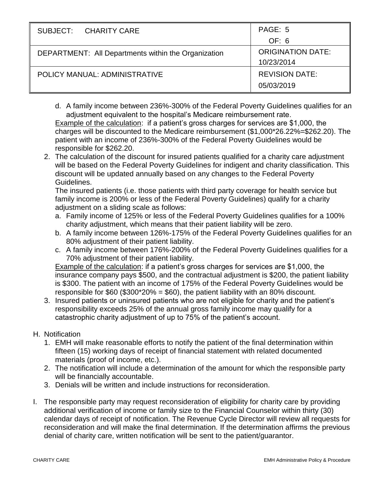| SUBJECT: CHARITY CARE                               | PAGE: 5                  |
|-----------------------------------------------------|--------------------------|
|                                                     | OF: 6                    |
| DEPARTMENT: All Departments within the Organization | <b>ORIGINATION DATE:</b> |
|                                                     | 10/23/2014               |
| POLICY MANUAL: ADMINISTRATIVE                       | <b>REVISION DATE:</b>    |
|                                                     | 05/03/2019               |

- d. A family income between 236%-300% of the Federal Poverty Guidelines qualifies for an adjustment equivalent to the hospital's Medicare reimbursement rate. Example of the calculation: if a patient's gross charges for services are \$1,000, the charges will be discounted to the Medicare reimbursement (\$1,000\*26.22%=\$262.20). The patient with an income of 236%-300% of the Federal Poverty Guidelines would be responsible for \$262.20.
- 2. The calculation of the discount for insured patients qualified for a charity care adjustment will be based on the Federal Poverty Guidelines for indigent and charity classification. This discount will be updated annually based on any changes to the Federal Poverty Guidelines.

The insured patients (i.e. those patients with third party coverage for health service but family income is 200% or less of the Federal Poverty Guidelines) qualify for a charity adjustment on a sliding scale as follows:

- a. Family income of 125% or less of the Federal Poverty Guidelines qualifies for a 100% charity adjustment, which means that their patient liability will be zero.
- b. A family income between 126%-175% of the Federal Poverty Guidelines qualifies for an 80% adjustment of their patient liability.
- c. A family income between 176%-200% of the Federal Poverty Guidelines qualifies for a 70% adjustment of their patient liability.

Example of the calculation: if a patient's gross charges for services are \$1,000, the insurance company pays \$500, and the contractual adjustment is \$200, the patient liability is \$300. The patient with an income of 175% of the Federal Poverty Guidelines would be responsible for  $$60$  ( $$300^{\ast}20\% = $60$ ), the patient liability with an 80% discount.

3. Insured patients or uninsured patients who are not eligible for charity and the patient's responsibility exceeds 25% of the annual gross family income may qualify for a catastrophic charity adjustment of up to 75% of the patient's account.

## H. Notification

- 1. EMH will make reasonable efforts to notify the patient of the final determination within fifteen (15) working days of receipt of financial statement with related documented materials (proof of income, etc.).
- 2. The notification will include a determination of the amount for which the responsible party will be financially accountable.
- 3. Denials will be written and include instructions for reconsideration.
- I. The responsible party may request reconsideration of eligibility for charity care by providing additional verification of income or family size to the Financial Counselor within thirty (30) calendar days of receipt of notification. The Revenue Cycle Director will review all requests for reconsideration and will make the final determination. If the determination affirms the previous denial of charity care, written notification will be sent to the patient/guarantor.